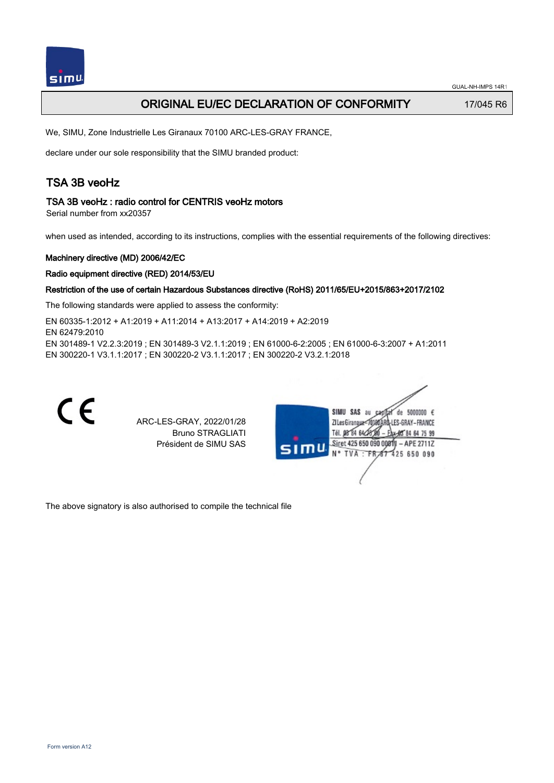# ORIGINAL EU/EC DECLARATION OF CONFORMITY 17/045 R6

We, SIMU, Zone Industrielle Les Giranaux 70100 ARC-LES-GRAY FRANCE,

declare under our sole responsibility that the SIMU branded product:

# TSA 3B veoHz

### TSA 3B veoHz : radio control for CENTRIS veoHz motors

Serial number from xx20357

when used as intended, according to its instructions, complies with the essential requirements of the following directives:

### Machinery directive (MD) 2006/42/EC

#### Radio equipment directive (RED) 2014/53/EU

### Restriction of the use of certain Hazardous Substances directive (RoHS) 2011/65/EU+2015/863+2017/2102

The following standards were applied to assess the conformity:

EN 60335‑1:2012 + A1:2019 + A11:2014 + A13:2017 + A14:2019 + A2:2019 EN 62479:2010 EN 301489‑1 V2.2.3:2019 ; EN 301489‑3 V2.1.1:2019 ; EN 61000‑6‑2:2005 ; EN 61000‑6‑3:2007 + A1:2011 EN 300220‑1 V3.1.1:2017 ; EN 300220‑2 V3.1.1:2017 ; EN 300220‑2 V3.2.1:2018



The above signatory is also authorised to compile the technical file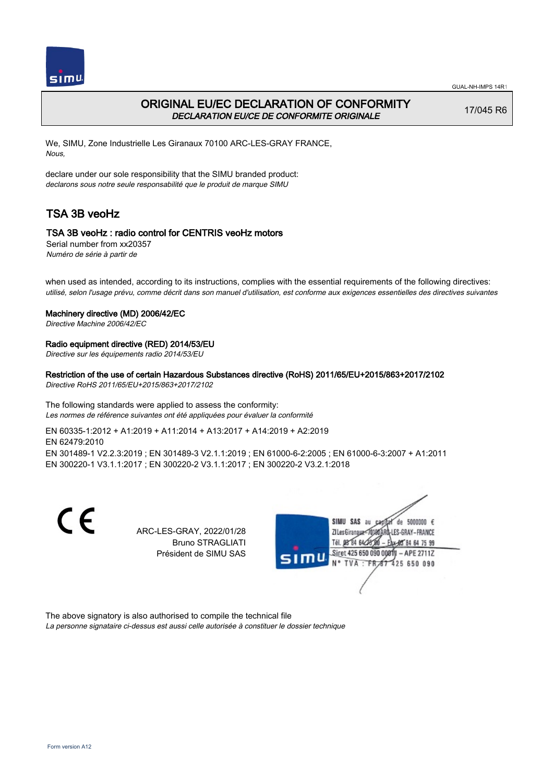

# ORIGINAL EU/EC DECLARATION OF CONFORMITY DECLARATION EU/CE DE CONFORMITE ORIGINALE

17/045 R6

We, SIMU, Zone Industrielle Les Giranaux 70100 ARC-LES-GRAY FRANCE, Nous,

declare under our sole responsibility that the SIMU branded product: declarons sous notre seule responsabilité que le produit de marque SIMU

# TSA 3B veoHz

## TSA 3B veoHz : radio control for CENTRIS veoHz motors

Serial number from xx20357 Numéro de série à partir de

when used as intended, according to its instructions, complies with the essential requirements of the following directives: utilisé, selon l'usage prévu, comme décrit dans son manuel d'utilisation, est conforme aux exigences essentielles des directives suivantes

#### Machinery directive (MD) 2006/42/EC

Directive Machine 2006/42/EC

### Radio equipment directive (RED) 2014/53/EU

Directive sur les équipements radio 2014/53/EU

### Restriction of the use of certain Hazardous Substances directive (RoHS) 2011/65/EU+2015/863+2017/2102

Directive RoHS 2011/65/EU+2015/863+2017/2102

The following standards were applied to assess the conformity: Les normes de référence suivantes ont été appliquées pour évaluer la conformité

EN 60335‑1:2012 + A1:2019 + A11:2014 + A13:2017 + A14:2019 + A2:2019 EN 62479:2010 EN 301489‑1 V2.2.3:2019 ; EN 301489‑3 V2.1.1:2019 ; EN 61000‑6‑2:2005 ; EN 61000‑6‑3:2007 + A1:2011 EN 300220‑1 V3.1.1:2017 ; EN 300220‑2 V3.1.1:2017 ; EN 300220‑2 V3.2.1:2018

> ARC-LES-GRAY, 2022/01/28 Bruno STRAGLIATI Président de SIMU SAS



The above signatory is also authorised to compile the technical file La personne signataire ci-dessus est aussi celle autorisée à constituer le dossier technique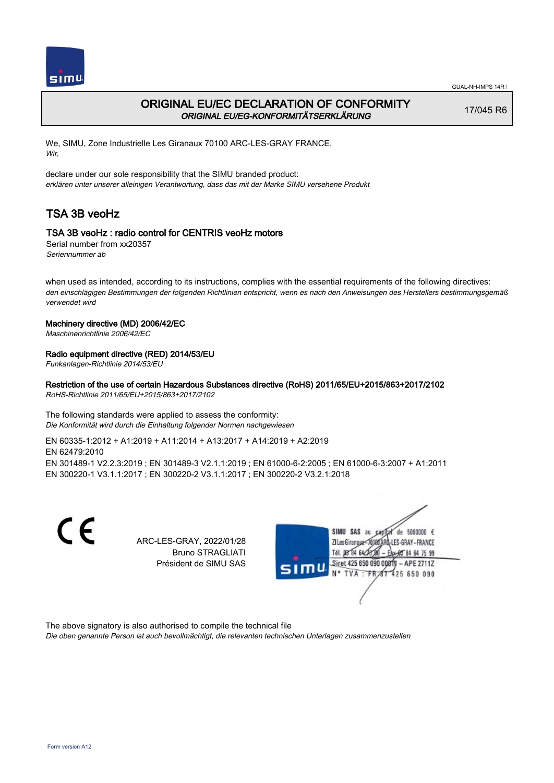

# ORIGINAL EU/EC DECLARATION OF CONFORMITY ORIGINAL EU/EG-KONFORMITÄTSERKLÄRUNG

17/045 R6

We, SIMU, Zone Industrielle Les Giranaux 70100 ARC-LES-GRAY FRANCE, Wir,

declare under our sole responsibility that the SIMU branded product: erklären unter unserer alleinigen Verantwortung, dass das mit der Marke SIMU versehene Produkt

# TSA 3B veoHz

# TSA 3B veoHz : radio control for CENTRIS veoHz motors

Serial number from xx20357 Seriennummer ab

when used as intended, according to its instructions, complies with the essential requirements of the following directives: den einschlägigen Bestimmungen der folgenden Richtlinien entspricht, wenn es nach den Anweisungen des Herstellers bestimmungsgemäß verwendet wird

## Machinery directive (MD) 2006/42/EC

Maschinenrichtlinie 2006/42/EC

## Radio equipment directive (RED) 2014/53/EU

Funkanlagen-Richtlinie 2014/53/EU

# Restriction of the use of certain Hazardous Substances directive (RoHS) 2011/65/EU+2015/863+2017/2102

RoHS-Richtlinie 2011/65/EU+2015/863+2017/2102

#### The following standards were applied to assess the conformity: Die Konformität wird durch die Einhaltung folgender Normen nachgewiesen

EN 60335‑1:2012 + A1:2019 + A11:2014 + A13:2017 + A14:2019 + A2:2019 EN 62479:2010 EN 301489‑1 V2.2.3:2019 ; EN 301489‑3 V2.1.1:2019 ; EN 61000‑6‑2:2005 ; EN 61000‑6‑3:2007 + A1:2011 EN 300220‑1 V3.1.1:2017 ; EN 300220‑2 V3.1.1:2017 ; EN 300220‑2 V3.2.1:2018

CE

ARC-LES-GRAY, 2022/01/28 Bruno STRAGLIATI Président de SIMU SAS



The above signatory is also authorised to compile the technical file

Die oben genannte Person ist auch bevollmächtigt, die relevanten technischen Unterlagen zusammenzustellen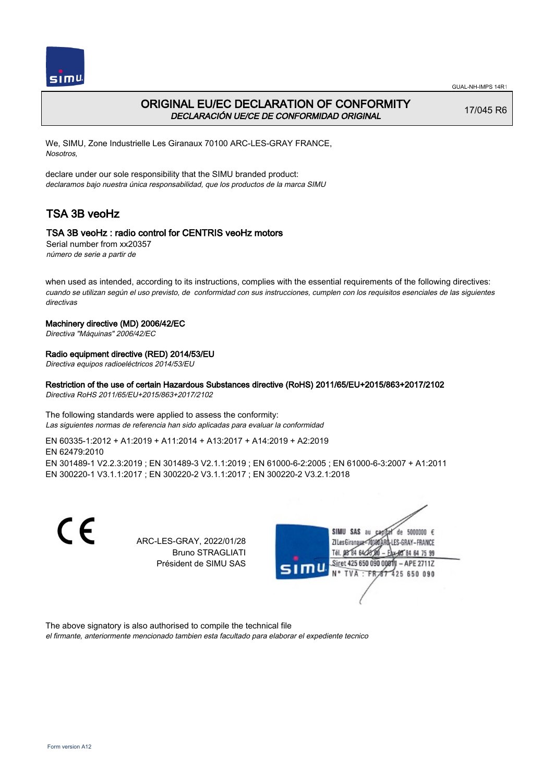



# ORIGINAL EU/EC DECLARATION OF CONFORMITY DECLARACIÓN UE/CE DE CONFORMIDAD ORIGINAL

17/045 R6

We, SIMU, Zone Industrielle Les Giranaux 70100 ARC-LES-GRAY FRANCE, Nosotros,

declare under our sole responsibility that the SIMU branded product: declaramos bajo nuestra única responsabilidad, que los productos de la marca SIMU

# TSA 3B veoHz

## TSA 3B veoHz : radio control for CENTRIS veoHz motors

Serial number from xx20357 número de serie a partir de

when used as intended, according to its instructions, complies with the essential requirements of the following directives: cuando se utilizan según el uso previsto, de conformidad con sus instrucciones, cumplen con los requisitos esenciales de las siguientes directivas

### Machinery directive (MD) 2006/42/EC

Directiva "Máquinas" 2006/42/EC

### Radio equipment directive (RED) 2014/53/EU

Directiva equipos radioeléctricos 2014/53/EU

Restriction of the use of certain Hazardous Substances directive (RoHS) 2011/65/EU+2015/863+2017/2102

Directiva RoHS 2011/65/EU+2015/863+2017/2102

The following standards were applied to assess the conformity: Las siguientes normas de referencia han sido aplicadas para evaluar la conformidad

EN 60335‑1:2012 + A1:2019 + A11:2014 + A13:2017 + A14:2019 + A2:2019 EN 62479:2010 EN 301489‑1 V2.2.3:2019 ; EN 301489‑3 V2.1.1:2019 ; EN 61000‑6‑2:2005 ; EN 61000‑6‑3:2007 + A1:2011 EN 300220‑1 V3.1.1:2017 ; EN 300220‑2 V3.1.1:2017 ; EN 300220‑2 V3.2.1:2018

CE

ARC-LES-GRAY, 2022/01/28 Bruno STRAGLIATI Président de SIMU SAS



The above signatory is also authorised to compile the technical file el firmante, anteriormente mencionado tambien esta facultado para elaborar el expediente tecnico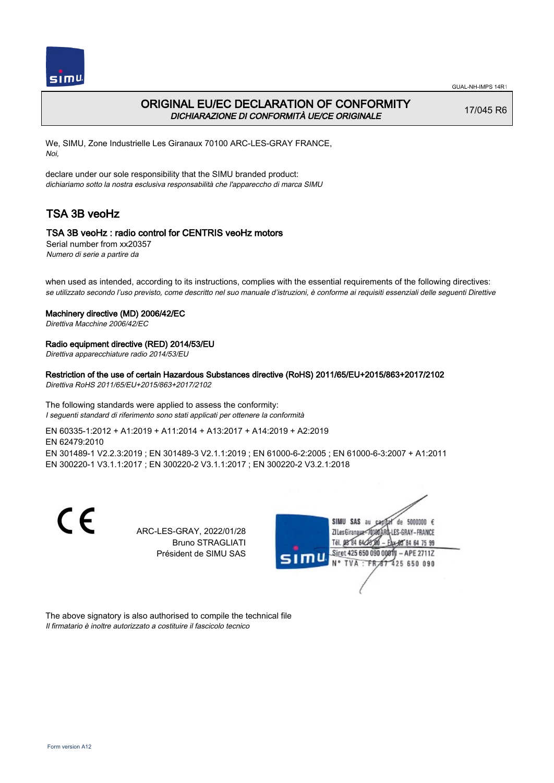

# ORIGINAL EU/EC DECLARATION OF CONFORMITY DICHIARAZIONE DI CONFORMITÀ UE/CE ORIGINALE

17/045 R6

We, SIMU, Zone Industrielle Les Giranaux 70100 ARC-LES-GRAY FRANCE, Noi,

declare under our sole responsibility that the SIMU branded product: dichiariamo sotto la nostra esclusiva responsabilità che l'appareccho di marca SIMU

# TSA 3B veoHz

## TSA 3B veoHz : radio control for CENTRIS veoHz motors

Serial number from xx20357 Numero di serie a partire da

when used as intended, according to its instructions, complies with the essential requirements of the following directives: se utilizzato secondo l'uso previsto, come descritto nel suo manuale d'istruzioni, è conforme ai requisiti essenziali delle seguenti Direttive

#### Machinery directive (MD) 2006/42/EC

Direttiva Macchine 2006/42/EC

### Radio equipment directive (RED) 2014/53/EU

Direttiva apparecchiature radio 2014/53/EU

### Restriction of the use of certain Hazardous Substances directive (RoHS) 2011/65/EU+2015/863+2017/2102

Direttiva RoHS 2011/65/EU+2015/863+2017/2102

The following standards were applied to assess the conformity: I seguenti standard di riferimento sono stati applicati per ottenere la conformità

EN 60335‑1:2012 + A1:2019 + A11:2014 + A13:2017 + A14:2019 + A2:2019 EN 62479:2010 EN 301489‑1 V2.2.3:2019 ; EN 301489‑3 V2.1.1:2019 ; EN 61000‑6‑2:2005 ; EN 61000‑6‑3:2007 + A1:2011 EN 300220‑1 V3.1.1:2017 ; EN 300220‑2 V3.1.1:2017 ; EN 300220‑2 V3.2.1:2018

C F

ARC-LES-GRAY, 2022/01/28 Bruno STRAGLIATI Président de SIMU SAS



The above signatory is also authorised to compile the technical file Il firmatario è inoltre autorizzato a costituire il fascicolo tecnico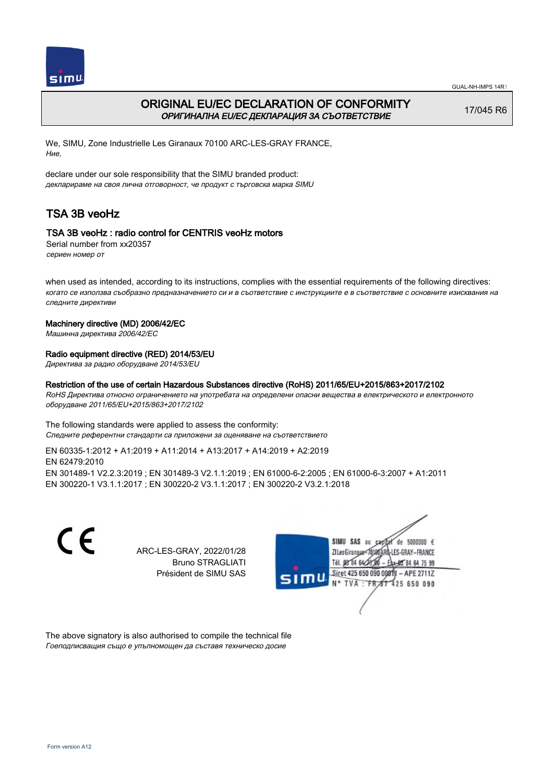

# ORIGINAL EU/EC DECLARATION OF CONFORMITY ОРИГИНАЛНА EU/EC ДЕКЛАРАЦИЯ ЗА СЪОТВЕТСТВИЕ

17/045 R6

We, SIMU, Zone Industrielle Les Giranaux 70100 ARC-LES-GRAY FRANCE, Ние,

declare under our sole responsibility that the SIMU branded product: декларираме на своя лична отговорност, че продукт с търговска марка SIMU

# TSA 3B veoHz

## TSA 3B veoHz : radio control for CENTRIS veoHz motors

Serial number from xx20357 сериен номер от

when used as intended, according to its instructions, complies with the essential requirements of the following directives: когато се използва съобразно предназначението си и в съответствие с инструкциите е в съответствие с основните изисквания на следните директиви

### Machinery directive (MD) 2006/42/EC

Машинна директива 2006/42/EC

### Radio equipment directive (RED) 2014/53/EU

Директива за радио оборудване 2014/53/EU

#### Restriction of the use of certain Hazardous Substances directive (RoHS) 2011/65/EU+2015/863+2017/2102

RoHS Директива относно ограничението на употребата на определени опасни вещества в електрическото и електронното оборудване 2011/65/EU+2015/863+2017/2102

The following standards were applied to assess the conformity: Следните референтни стандарти са приложени за оценяване на съответствието

EN 60335‑1:2012 + A1:2019 + A11:2014 + A13:2017 + A14:2019 + A2:2019 EN 62479:2010 EN 301489‑1 V2.2.3:2019 ; EN 301489‑3 V2.1.1:2019 ; EN 61000‑6‑2:2005 ; EN 61000‑6‑3:2007 + A1:2011 EN 300220‑1 V3.1.1:2017 ; EN 300220‑2 V3.1.1:2017 ; EN 300220‑2 V3.2.1:2018

> ARC-LES-GRAY, 2022/01/28 Bruno STRAGLIATI Président de SIMU SAS



The above signatory is also authorised to compile the technical file Гоеподписващия също е упълномощен да съставя техническо досие

C E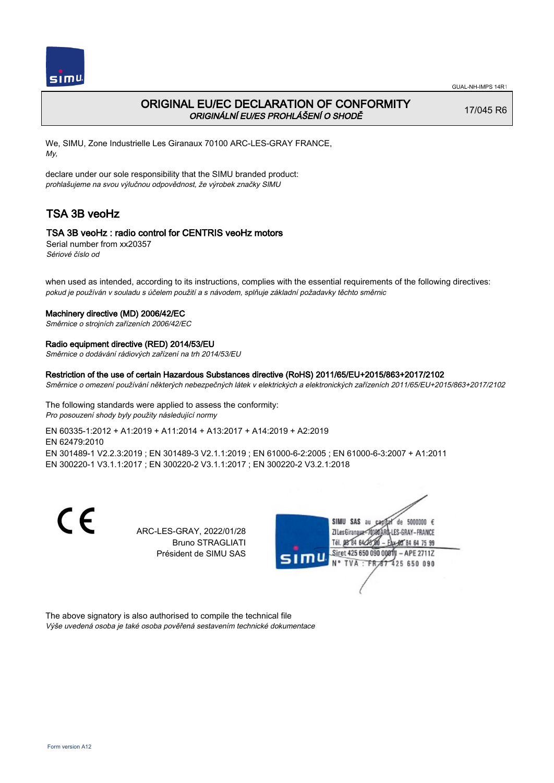

# ORIGINAL EU/EC DECLARATION OF CONFORMITY ORIGINÁLNÍ EU/ES PROHLÁŠENÍ O SHODĚ

17/045 R6

We, SIMU, Zone Industrielle Les Giranaux 70100 ARC-LES-GRAY FRANCE, My,

declare under our sole responsibility that the SIMU branded product: prohlašujeme na svou výlučnou odpovědnost, že výrobek značky SIMU

# TSA 3B veoHz

## TSA 3B veoHz : radio control for CENTRIS veoHz motors

Serial number from xx20357 Sériové číslo od

when used as intended, according to its instructions, complies with the essential requirements of the following directives: pokud je používán v souladu s účelem použití a s návodem, splňuje základní požadavky těchto směrnic

#### Machinery directive (MD) 2006/42/EC

Směrnice o strojních zařízeních 2006/42/EC

#### Radio equipment directive (RED) 2014/53/EU

Směrnice o dodávání rádiových zařízení na trh 2014/53/EU

### Restriction of the use of certain Hazardous Substances directive (RoHS) 2011/65/EU+2015/863+2017/2102

Směrnice o omezení používání některých nebezpečných látek v elektrických a elektronických zařízeních 2011/65/EU+2015/863+2017/2102

The following standards were applied to assess the conformity: Pro posouzení shody byly použity následující normy

EN 60335‑1:2012 + A1:2019 + A11:2014 + A13:2017 + A14:2019 + A2:2019 EN 62479:2010 EN 301489‑1 V2.2.3:2019 ; EN 301489‑3 V2.1.1:2019 ; EN 61000‑6‑2:2005 ; EN 61000‑6‑3:2007 + A1:2011 EN 300220‑1 V3.1.1:2017 ; EN 300220‑2 V3.1.1:2017 ; EN 300220‑2 V3.2.1:2018

> ARC-LES-GRAY, 2022/01/28 Bruno STRAGLIATI Président de SIMU SAS



The above signatory is also authorised to compile the technical file Výše uvedená osoba je také osoba pověřená sestavením technické dokumentace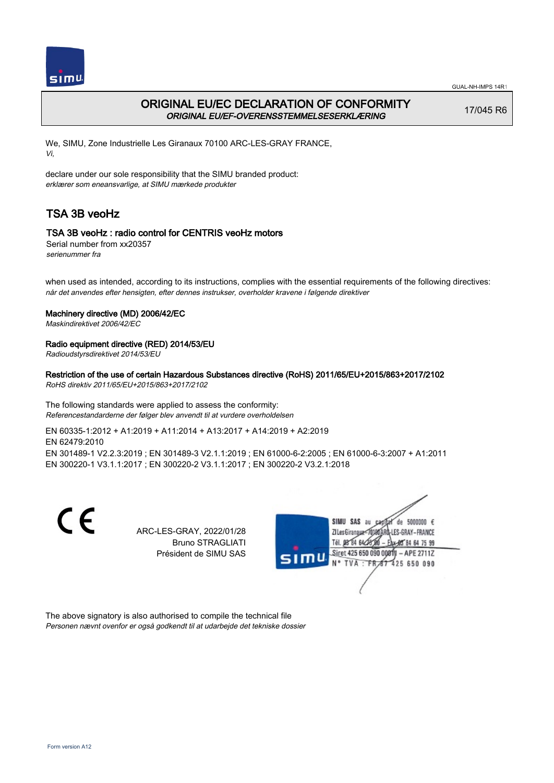

# ORIGINAL EU/EC DECLARATION OF CONFORMITY ORIGINAL EU/EF-OVERENSSTEMMELSESERKLÆRING

17/045 R6

We, SIMU, Zone Industrielle Les Giranaux 70100 ARC-LES-GRAY FRANCE, Vi,

declare under our sole responsibility that the SIMU branded product: erklærer som eneansvarlige, at SIMU mærkede produkter

# TSA 3B veoHz

## TSA 3B veoHz : radio control for CENTRIS veoHz motors

Serial number from xx20357 serienummer fra

when used as intended, according to its instructions, complies with the essential requirements of the following directives: når det anvendes efter hensigten, efter dennes instrukser, overholder kravene i følgende direktiver

### Machinery directive (MD) 2006/42/EC

Maskindirektivet 2006/42/EC

## Radio equipment directive (RED) 2014/53/EU

Radioudstyrsdirektivet 2014/53/EU

## Restriction of the use of certain Hazardous Substances directive (RoHS) 2011/65/EU+2015/863+2017/2102

RoHS direktiv 2011/65/EU+2015/863+2017/2102

The following standards were applied to assess the conformity: Referencestandarderne der følger blev anvendt til at vurdere overholdelsen

EN 60335‑1:2012 + A1:2019 + A11:2014 + A13:2017 + A14:2019 + A2:2019 EN 62479:2010 EN 301489‑1 V2.2.3:2019 ; EN 301489‑3 V2.1.1:2019 ; EN 61000‑6‑2:2005 ; EN 61000‑6‑3:2007 + A1:2011 EN 300220‑1 V3.1.1:2017 ; EN 300220‑2 V3.1.1:2017 ; EN 300220‑2 V3.2.1:2018

> ARC-LES-GRAY, 2022/01/28 Bruno STRAGLIATI Président de SIMU SAS



The above signatory is also authorised to compile the technical file Personen nævnt ovenfor er også godkendt til at udarbejde det tekniske dossier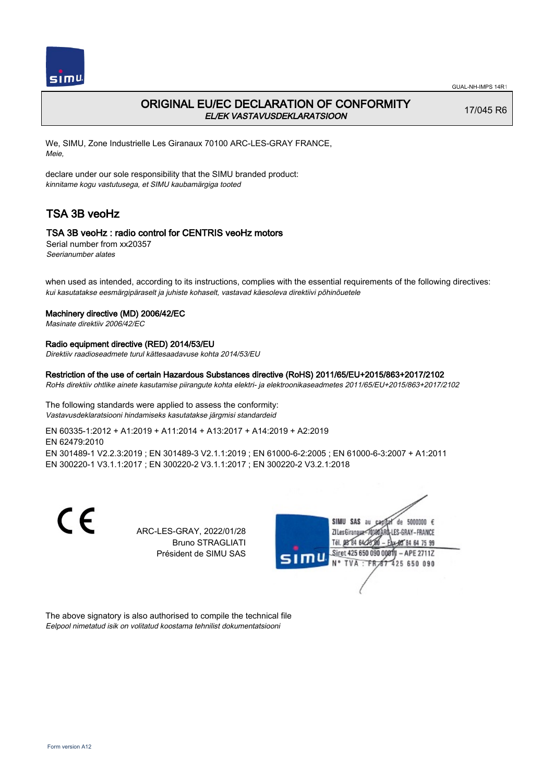

# ORIGINAL EU/EC DECLARATION OF CONFORMITY EL/EK VASTAVUSDEKLARATSIOON

17/045 R6

We, SIMU, Zone Industrielle Les Giranaux 70100 ARC-LES-GRAY FRANCE, Meie,

declare under our sole responsibility that the SIMU branded product: kinnitame kogu vastutusega, et SIMU kaubamärgiga tooted

# TSA 3B veoHz

## TSA 3B veoHz : radio control for CENTRIS veoHz motors

Serial number from xx20357 Seerianumber alates

when used as intended, according to its instructions, complies with the essential requirements of the following directives: kui kasutatakse eesmärgipäraselt ja juhiste kohaselt, vastavad käesoleva direktiivi põhinõuetele

#### Machinery directive (MD) 2006/42/EC

Masinate direktiiv 2006/42/EC

#### Radio equipment directive (RED) 2014/53/EU

Direktiiv raadioseadmete turul kättesaadavuse kohta 2014/53/EU

### Restriction of the use of certain Hazardous Substances directive (RoHS) 2011/65/EU+2015/863+2017/2102

RoHs direktiiv ohtlike ainete kasutamise piirangute kohta elektri- ja elektroonikaseadmetes 2011/65/EU+2015/863+2017/2102

The following standards were applied to assess the conformity: Vastavusdeklaratsiooni hindamiseks kasutatakse järgmisi standardeid

EN 60335‑1:2012 + A1:2019 + A11:2014 + A13:2017 + A14:2019 + A2:2019 EN 62479:2010 EN 301489‑1 V2.2.3:2019 ; EN 301489‑3 V2.1.1:2019 ; EN 61000‑6‑2:2005 ; EN 61000‑6‑3:2007 + A1:2011 EN 300220‑1 V3.1.1:2017 ; EN 300220‑2 V3.1.1:2017 ; EN 300220‑2 V3.2.1:2018

> ARC-LES-GRAY, 2022/01/28 Bruno STRAGLIATI Président de SIMU SAS



The above signatory is also authorised to compile the technical file Eelpool nimetatud isik on volitatud koostama tehnilist dokumentatsiooni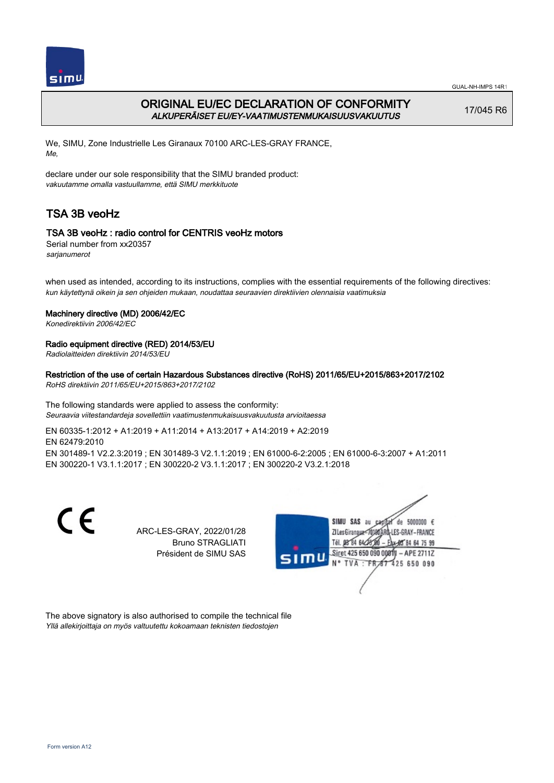

# ORIGINAL EU/EC DECLARATION OF CONFORMITY ALKUPERÄISET EU/EY-VAATIMUSTENMUKAISUUSVAKUUTUS

17/045 R6

We, SIMU, Zone Industrielle Les Giranaux 70100 ARC-LES-GRAY FRANCE, Me,

declare under our sole responsibility that the SIMU branded product: vakuutamme omalla vastuullamme, että SIMU merkkituote

# TSA 3B veoHz

## TSA 3B veoHz : radio control for CENTRIS veoHz motors

Serial number from xx20357 sarjanumerot

when used as intended, according to its instructions, complies with the essential requirements of the following directives: kun käytettynä oikein ja sen ohjeiden mukaan, noudattaa seuraavien direktiivien olennaisia vaatimuksia

## Machinery directive (MD) 2006/42/EC

Konedirektiivin 2006/42/EC

## Radio equipment directive (RED) 2014/53/EU

Radiolaitteiden direktiivin 2014/53/EU

## Restriction of the use of certain Hazardous Substances directive (RoHS) 2011/65/EU+2015/863+2017/2102

RoHS direktiivin 2011/65/EU+2015/863+2017/2102

The following standards were applied to assess the conformity: Seuraavia viitestandardeja sovellettiin vaatimustenmukaisuusvakuutusta arvioitaessa

EN 60335‑1:2012 + A1:2019 + A11:2014 + A13:2017 + A14:2019 + A2:2019 EN 62479:2010 EN 301489‑1 V2.2.3:2019 ; EN 301489‑3 V2.1.1:2019 ; EN 61000‑6‑2:2005 ; EN 61000‑6‑3:2007 + A1:2011 EN 300220‑1 V3.1.1:2017 ; EN 300220‑2 V3.1.1:2017 ; EN 300220‑2 V3.2.1:2018

> ARC-LES-GRAY, 2022/01/28 Bruno STRAGLIATI Président de SIMU SAS



The above signatory is also authorised to compile the technical file Yllä allekirjoittaja on myös valtuutettu kokoamaan teknisten tiedostojen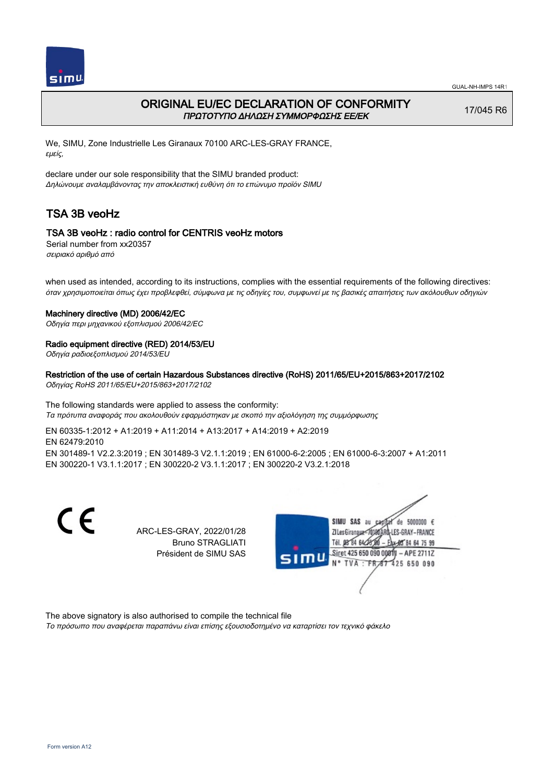

# ORIGINAL EU/EC DECLARATION OF CONFORMITY ΠΡΩΤΟΤΥΠΟ ΔΗΛΩΣΗ ΣΥΜΜΟΡΦΩΣΗΣ ΕΕ/EK

17/045 R6

We, SIMU, Zone Industrielle Les Giranaux 70100 ARC-LES-GRAY FRANCE, εμείς,

declare under our sole responsibility that the SIMU branded product: Δηλώνουμε αναλαμβάνοντας την αποκλειστική ευθύνη ότι το επώνυμο προϊόν SIMU

# TSA 3B veoHz

## TSA 3B veoHz : radio control for CENTRIS veoHz motors

Serial number from xx20357 σειριακό αριθμό από

when used as intended, according to its instructions, complies with the essential requirements of the following directives: όταν χρησιμοποιείται όπως έχει προβλεφθεί, σύμφωνα με τις οδηγίες του, συμφωνεί με τις βασικές απαιτήσεις των ακόλουθων οδηγιών

### Machinery directive (MD) 2006/42/EC

Οδηγία περι μηχανικού εξοπλισμού 2006/42/EC

### Radio equipment directive (RED) 2014/53/EU

Οδηγία ραδιοεξοπλισμού 2014/53/EU

### Restriction of the use of certain Hazardous Substances directive (RoHS) 2011/65/EU+2015/863+2017/2102

Οδηγίας RoHS 2011/65/EU+2015/863+2017/2102

The following standards were applied to assess the conformity: Τα πρότυπα αναφοράς που ακολουθούν εφαρμόστηκαν με σκοπό την αξιολόγηση της συμμόρφωσης

EN 60335‑1:2012 + A1:2019 + A11:2014 + A13:2017 + A14:2019 + A2:2019 EN 62479:2010 EN 301489‑1 V2.2.3:2019 ; EN 301489‑3 V2.1.1:2019 ; EN 61000‑6‑2:2005 ; EN 61000‑6‑3:2007 + A1:2011 EN 300220‑1 V3.1.1:2017 ; EN 300220‑2 V3.1.1:2017 ; EN 300220‑2 V3.2.1:2018

> ARC-LES-GRAY, 2022/01/28 Bruno STRAGLIATI Président de SIMU SAS



The above signatory is also authorised to compile the technical file Το πρόσωπο που αναφέρεται παραπάνω είναι επίσης εξουσιοδοτημένο να καταρτίσει τον τεχνικό φάκελο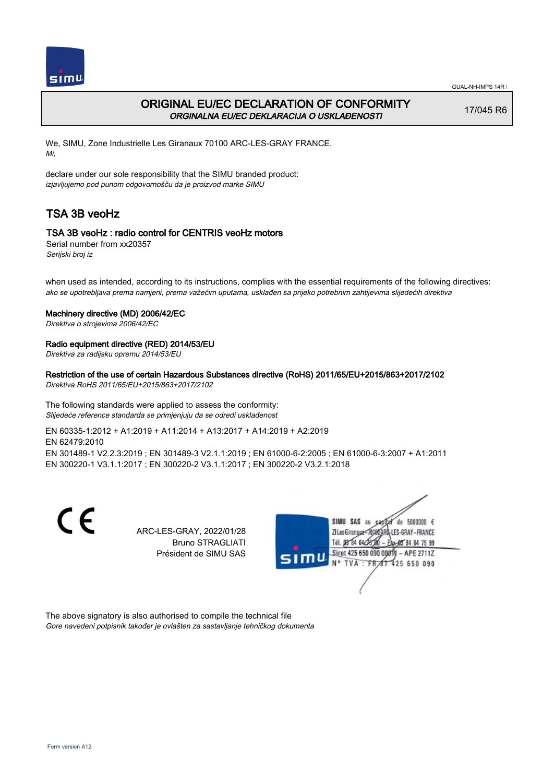

# ORIGINAL EU/EC DECLARATION OF CONFORMITY ORGINALNA EU/EC DEKLARACIJA O USKLAĐENOSTI

17/045 R6

We, SIMU, Zone Industrielle Les Giranaux 70100 ARC-LES-GRAY FRANCE, Mi,

declare under our sole responsibility that the SIMU branded product: izjavljujemo pod punom odgovornošču da je proizvod marke SIMU

# TSA 3B veoHz

## TSA 3B veoHz : radio control for CENTRIS veoHz motors

Serial number from xx20357 Serijski broj iz

when used as intended, according to its instructions, complies with the essential requirements of the following directives: ako se upotrebljava prema namjeni, prema važećim uputama, usklađen sa prijeko potrebnim zahtijevima slijedećih direktiva

#### Machinery directive (MD) 2006/42/EC

Direktiva o strojevima 2006/42/EC

### Radio equipment directive (RED) 2014/53/EU

Direktiva za radijsku opremu 2014/53/EU

## Restriction of the use of certain Hazardous Substances directive (RoHS) 2011/65/EU+2015/863+2017/2102

Direktiva RoHS 2011/65/EU+2015/863+2017/2102

The following standards were applied to assess the conformity: Slijedeće reference standarda se primjenjuju da se odredi usklađenost

EN 60335‑1:2012 + A1:2019 + A11:2014 + A13:2017 + A14:2019 + A2:2019 EN 62479:2010 EN 301489‑1 V2.2.3:2019 ; EN 301489‑3 V2.1.1:2019 ; EN 61000‑6‑2:2005 ; EN 61000‑6‑3:2007 + A1:2011 EN 300220‑1 V3.1.1:2017 ; EN 300220‑2 V3.1.1:2017 ; EN 300220‑2 V3.2.1:2018

> ARC-LES-GRAY, 2022/01/28 Bruno STRAGLIATI Président de SIMU SAS



The above signatory is also authorised to compile the technical file Gore navedeni potpisnik također je ovlašten za sastavljanje tehničkog dokumenta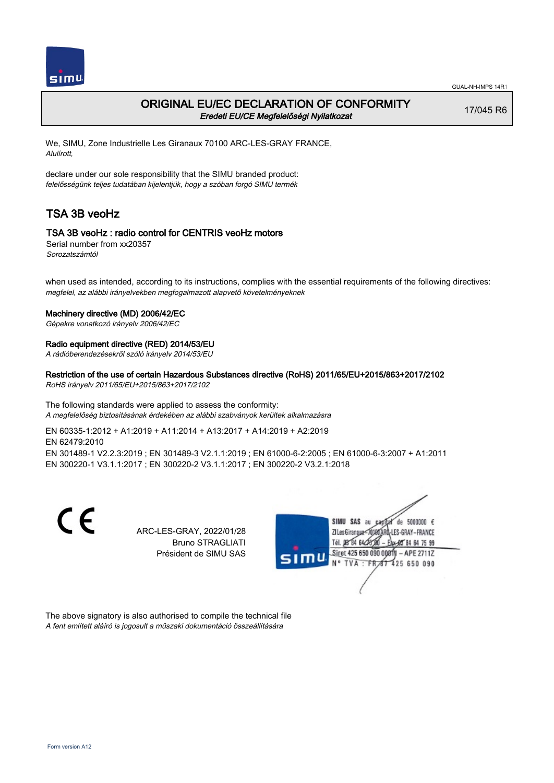

# ORIGINAL EU/EC DECLARATION OF CONFORMITY Eredeti EU/CE Megfelelőségi Nyilatkozat

17/045 R6

We, SIMU, Zone Industrielle Les Giranaux 70100 ARC-LES-GRAY FRANCE, Alulírott,

declare under our sole responsibility that the SIMU branded product: felelősségünk teljes tudatában kijelentjük, hogy a szóban forgó SIMU termék

# TSA 3B veoHz

## TSA 3B veoHz : radio control for CENTRIS veoHz motors

Serial number from xx20357 Sorozatszámtól

when used as intended, according to its instructions, complies with the essential requirements of the following directives: megfelel, az alábbi irányelvekben megfogalmazott alapvető követelményeknek

### Machinery directive (MD) 2006/42/EC

Gépekre vonatkozó irányelv 2006/42/EC

### Radio equipment directive (RED) 2014/53/EU

A rádióberendezésekről szóló irányelv 2014/53/EU

## Restriction of the use of certain Hazardous Substances directive (RoHS) 2011/65/EU+2015/863+2017/2102

RoHS irányelv 2011/65/EU+2015/863+2017/2102

The following standards were applied to assess the conformity: A megfelelőség biztosításának érdekében az alábbi szabványok kerültek alkalmazásra

EN 60335‑1:2012 + A1:2019 + A11:2014 + A13:2017 + A14:2019 + A2:2019 EN 62479:2010 EN 301489‑1 V2.2.3:2019 ; EN 301489‑3 V2.1.1:2019 ; EN 61000‑6‑2:2005 ; EN 61000‑6‑3:2007 + A1:2011 EN 300220‑1 V3.1.1:2017 ; EN 300220‑2 V3.1.1:2017 ; EN 300220‑2 V3.2.1:2018

> ARC-LES-GRAY, 2022/01/28 Bruno STRAGLIATI Président de SIMU SAS



The above signatory is also authorised to compile the technical file A fent említett aláíró is jogosult a műszaki dokumentáció összeállítására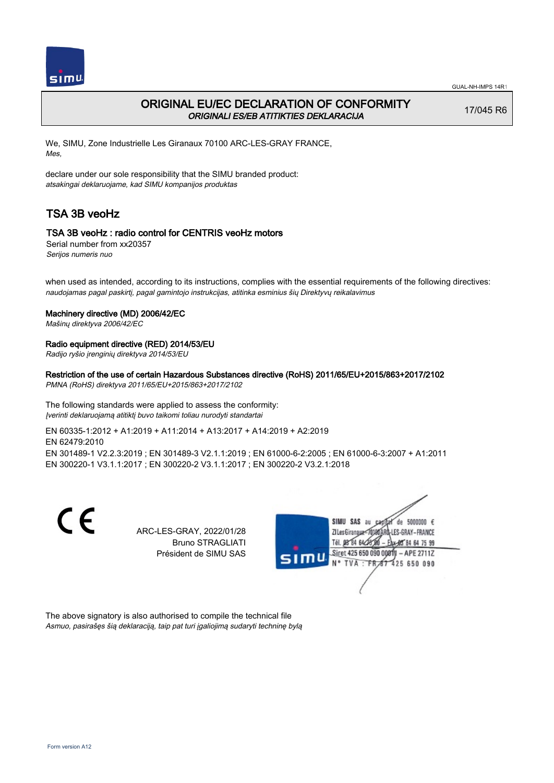

# ORIGINAL EU/EC DECLARATION OF CONFORMITY ORIGINALI ES/EB ATITIKTIES DEKLARACIJA

17/045 R6

We, SIMU, Zone Industrielle Les Giranaux 70100 ARC-LES-GRAY FRANCE, Mes,

declare under our sole responsibility that the SIMU branded product: atsakingai deklaruojame, kad SIMU kompanijos produktas

# TSA 3B veoHz

## TSA 3B veoHz : radio control for CENTRIS veoHz motors

Serial number from xx20357 Serijos numeris nuo

when used as intended, according to its instructions, complies with the essential requirements of the following directives: naudojamas pagal paskirtį, pagal gamintojo instrukcijas, atitinka esminius šių Direktyvų reikalavimus

### Machinery directive (MD) 2006/42/EC

Mašinų direktyva 2006/42/EC

### Radio equipment directive (RED) 2014/53/EU

Radijo ryšio įrenginių direktyva 2014/53/EU

### Restriction of the use of certain Hazardous Substances directive (RoHS) 2011/65/EU+2015/863+2017/2102

PMNA (RoHS) direktyva 2011/65/EU+2015/863+2017/2102

The following standards were applied to assess the conformity: Įverinti deklaruojamą atitiktį buvo taikomi toliau nurodyti standartai

EN 60335‑1:2012 + A1:2019 + A11:2014 + A13:2017 + A14:2019 + A2:2019 EN 62479:2010 EN 301489‑1 V2.2.3:2019 ; EN 301489‑3 V2.1.1:2019 ; EN 61000‑6‑2:2005 ; EN 61000‑6‑3:2007 + A1:2011 EN 300220‑1 V3.1.1:2017 ; EN 300220‑2 V3.1.1:2017 ; EN 300220‑2 V3.2.1:2018

> ARC-LES-GRAY, 2022/01/28 Bruno STRAGLIATI Président de SIMU SAS



The above signatory is also authorised to compile the technical file Asmuo, pasirašęs šią deklaraciją, taip pat turi įgaliojimą sudaryti techninę bylą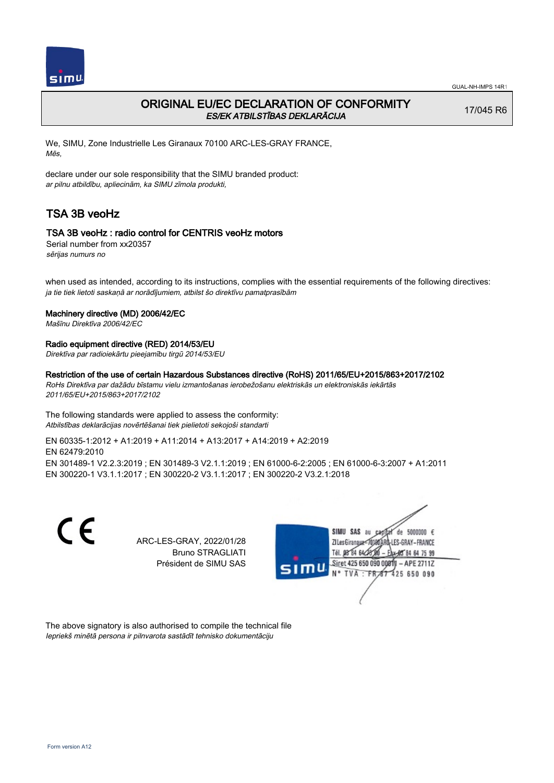

# ORIGINAL EU/EC DECLARATION OF CONFORMITY ES/EK ATBILSTĪBAS DEKLARĀCIJA

17/045 R6

We, SIMU, Zone Industrielle Les Giranaux 70100 ARC-LES-GRAY FRANCE, Mēs,

declare under our sole responsibility that the SIMU branded product: ar pilnu atbildību, apliecinām, ka SIMU zīmola produkti,

# TSA 3B veoHz

## TSA 3B veoHz : radio control for CENTRIS veoHz motors

Serial number from xx20357 sērijas numurs no

when used as intended, according to its instructions, complies with the essential requirements of the following directives: ja tie tiek lietoti saskaņā ar norādījumiem, atbilst šo direktīvu pamatprasībām

#### Machinery directive (MD) 2006/42/EC

Mašīnu Direktīva 2006/42/EC

## Radio equipment directive (RED) 2014/53/EU

Direktīva par radioiekārtu pieejamību tirgū 2014/53/EU

#### Restriction of the use of certain Hazardous Substances directive (RoHS) 2011/65/EU+2015/863+2017/2102

RoHs Direktīva par dažādu bīstamu vielu izmantošanas ierobežošanu elektriskās un elektroniskās iekārtās 2011/65/EU+2015/863+2017/2102

#### The following standards were applied to assess the conformity: Atbilstības deklarācijas novērtēšanai tiek pielietoti sekojoši standarti

EN 60335‑1:2012 + A1:2019 + A11:2014 + A13:2017 + A14:2019 + A2:2019 EN 62479:2010 EN 301489‑1 V2.2.3:2019 ; EN 301489‑3 V2.1.1:2019 ; EN 61000‑6‑2:2005 ; EN 61000‑6‑3:2007 + A1:2011 EN 300220‑1 V3.1.1:2017 ; EN 300220‑2 V3.1.1:2017 ; EN 300220‑2 V3.2.1:2018

CE

ARC-LES-GRAY, 2022/01/28 Bruno STRAGLIATI Président de SIMU SAS



The above signatory is also authorised to compile the technical file Iepriekš minētā persona ir pilnvarota sastādīt tehnisko dokumentāciju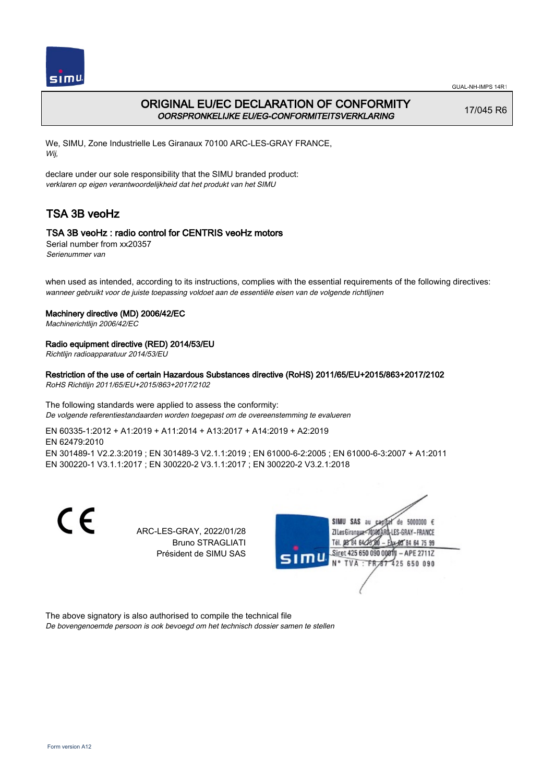

# ORIGINAL EU/EC DECLARATION OF CONFORMITY OORSPRONKELIJKE EU/EG-CONFORMITEITSVERKLARING

17/045 R6

We, SIMU, Zone Industrielle Les Giranaux 70100 ARC-LES-GRAY FRANCE, Wij,

declare under our sole responsibility that the SIMU branded product: verklaren op eigen verantwoordelijkheid dat het produkt van het SIMU

# TSA 3B veoHz

# TSA 3B veoHz : radio control for CENTRIS veoHz motors

Serial number from xx20357 Serienummer van

when used as intended, according to its instructions, complies with the essential requirements of the following directives: wanneer gebruikt voor de juiste toepassing voldoet aan de essentiële eisen van de volgende richtlijnen

### Machinery directive (MD) 2006/42/EC

Machinerichtlijn 2006/42/EC

## Radio equipment directive (RED) 2014/53/EU

Richtlijn radioapparatuur 2014/53/EU

## Restriction of the use of certain Hazardous Substances directive (RoHS) 2011/65/EU+2015/863+2017/2102

RoHS Richtlijn 2011/65/EU+2015/863+2017/2102

The following standards were applied to assess the conformity: De volgende referentiestandaarden worden toegepast om de overeenstemming te evalueren

EN 60335‑1:2012 + A1:2019 + A11:2014 + A13:2017 + A14:2019 + A2:2019 EN 62479:2010 EN 301489‑1 V2.2.3:2019 ; EN 301489‑3 V2.1.1:2019 ; EN 61000‑6‑2:2005 ; EN 61000‑6‑3:2007 + A1:2011 EN 300220‑1 V3.1.1:2017 ; EN 300220‑2 V3.1.1:2017 ; EN 300220‑2 V3.2.1:2018

> ARC-LES-GRAY, 2022/01/28 Bruno STRAGLIATI Président de SIMU SAS



The above signatory is also authorised to compile the technical file De bovengenoemde persoon is ook bevoegd om het technisch dossier samen te stellen

C E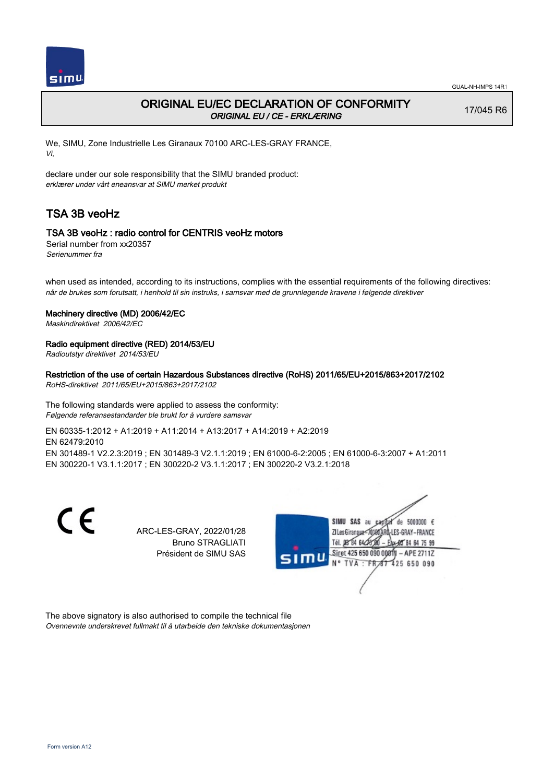

# ORIGINAL EU/EC DECLARATION OF CONFORMITY ORIGINAL EU / CE - ERKLÆRING

17/045 R6

We, SIMU, Zone Industrielle Les Giranaux 70100 ARC-LES-GRAY FRANCE, Vi,

declare under our sole responsibility that the SIMU branded product: erklærer under vårt eneansvar at SIMU merket produkt

# TSA 3B veoHz

## TSA 3B veoHz : radio control for CENTRIS veoHz motors

Serial number from xx20357 Serienummer fra

when used as intended, according to its instructions, complies with the essential requirements of the following directives: når de brukes som forutsatt, i henhold til sin instruks, i samsvar med de grunnlegende kravene i følgende direktiver

### Machinery directive (MD) 2006/42/EC

Maskindirektivet 2006/42/EC

## Radio equipment directive (RED) 2014/53/EU

Radioutstyr direktivet 2014/53/EU

## Restriction of the use of certain Hazardous Substances directive (RoHS) 2011/65/EU+2015/863+2017/2102

RoHS-direktivet 2011/65/EU+2015/863+2017/2102

The following standards were applied to assess the conformity: Følgende referansestandarder ble brukt for å vurdere samsvar

EN 60335‑1:2012 + A1:2019 + A11:2014 + A13:2017 + A14:2019 + A2:2019 EN 62479:2010 EN 301489‑1 V2.2.3:2019 ; EN 301489‑3 V2.1.1:2019 ; EN 61000‑6‑2:2005 ; EN 61000‑6‑3:2007 + A1:2011 EN 300220‑1 V3.1.1:2017 ; EN 300220‑2 V3.1.1:2017 ; EN 300220‑2 V3.2.1:2018

> ARC-LES-GRAY, 2022/01/28 Bruno STRAGLIATI Président de SIMU SAS



The above signatory is also authorised to compile the technical file Ovennevnte underskrevet fullmakt til å utarbeide den tekniske dokumentasjonen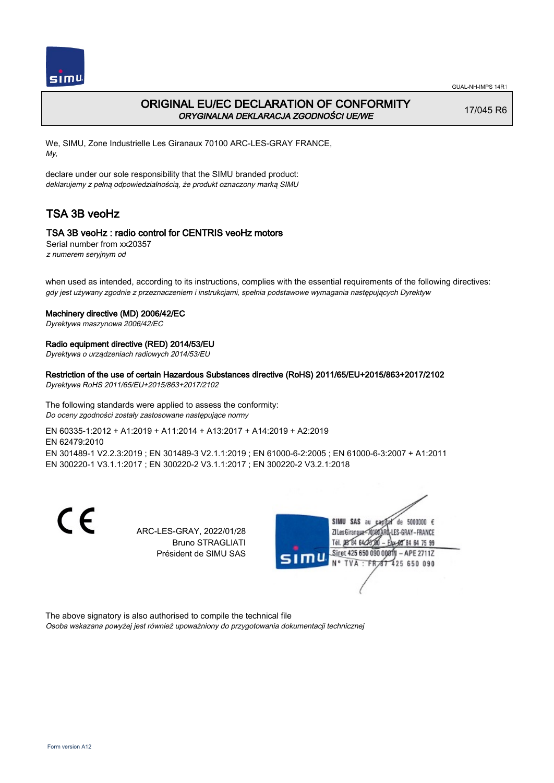

# ORIGINAL EU/EC DECLARATION OF CONFORMITY ORYGINALNA DEKLARACJA ZGODNOŚCI UE/WE

17/045 R6

We, SIMU, Zone Industrielle Les Giranaux 70100 ARC-LES-GRAY FRANCE, My,

declare under our sole responsibility that the SIMU branded product: deklarujemy z pełną odpowiedzialnością, że produkt oznaczony marką SIMU

# TSA 3B veoHz

# TSA 3B veoHz : radio control for CENTRIS veoHz motors

Serial number from xx20357 z numerem seryjnym od

when used as intended, according to its instructions, complies with the essential requirements of the following directives: gdy jest używany zgodnie z przeznaczeniem i instrukcjami, spełnia podstawowe wymagania następujących Dyrektyw

### Machinery directive (MD) 2006/42/EC

Dyrektywa maszynowa 2006/42/EC

## Radio equipment directive (RED) 2014/53/EU

Dyrektywa o urządzeniach radiowych 2014/53/EU

## Restriction of the use of certain Hazardous Substances directive (RoHS) 2011/65/EU+2015/863+2017/2102

Dyrektywa RoHS 2011/65/EU+2015/863+2017/2102

The following standards were applied to assess the conformity: Do oceny zgodności zostały zastosowane następujące normy

EN 60335‑1:2012 + A1:2019 + A11:2014 + A13:2017 + A14:2019 + A2:2019 EN 62479:2010 EN 301489‑1 V2.2.3:2019 ; EN 301489‑3 V2.1.1:2019 ; EN 61000‑6‑2:2005 ; EN 61000‑6‑3:2007 + A1:2011 EN 300220‑1 V3.1.1:2017 ; EN 300220‑2 V3.1.1:2017 ; EN 300220‑2 V3.2.1:2018

> ARC-LES-GRAY, 2022/01/28 Bruno STRAGLIATI Président de SIMU SAS



The above signatory is also authorised to compile the technical file Osoba wskazana powyżej jest również upoważniony do przygotowania dokumentacji technicznej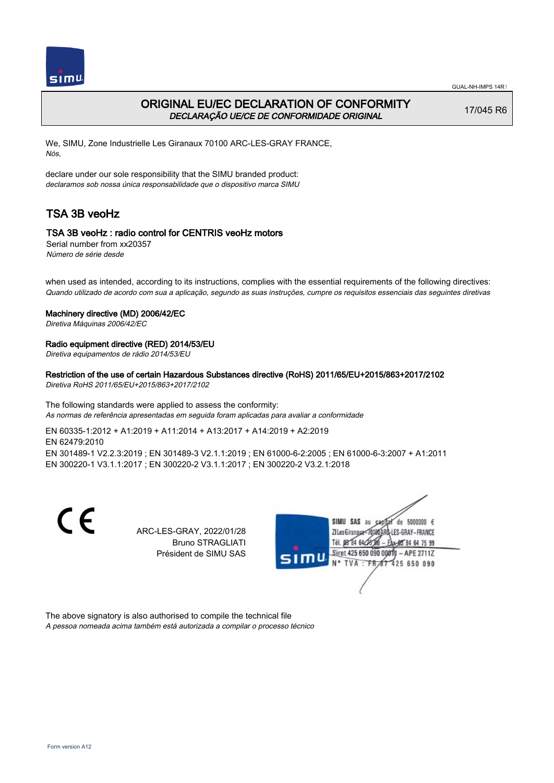

# ORIGINAL EU/EC DECLARATION OF CONFORMITY DECLARAÇÃO UE/CE DE CONFORMIDADE ORIGINAL

17/045 R6

We, SIMU, Zone Industrielle Les Giranaux 70100 ARC-LES-GRAY FRANCE, Nós,

declare under our sole responsibility that the SIMU branded product: declaramos sob nossa única responsabilidade que o dispositivo marca SIMU

# TSA 3B veoHz

# TSA 3B veoHz : radio control for CENTRIS veoHz motors

Serial number from xx20357 Número de série desde

when used as intended, according to its instructions, complies with the essential requirements of the following directives: Quando utilizado de acordo com sua a aplicação, segundo as suas instruções, cumpre os requisitos essenciais das seguintes diretivas

### Machinery directive (MD) 2006/42/EC

Diretiva Máquinas 2006/42/EC

### Radio equipment directive (RED) 2014/53/EU

Diretiva equipamentos de rádio 2014/53/EU

### Restriction of the use of certain Hazardous Substances directive (RoHS) 2011/65/EU+2015/863+2017/2102

Diretiva RoHS 2011/65/EU+2015/863+2017/2102

The following standards were applied to assess the conformity: As normas de referência apresentadas em seguida foram aplicadas para avaliar a conformidade

> Bruno STRAGLIATI Président de SIMU SAS

EN 60335‑1:2012 + A1:2019 + A11:2014 + A13:2017 + A14:2019 + A2:2019 EN 62479:2010 EN 301489‑1 V2.2.3:2019 ; EN 301489‑3 V2.1.1:2019 ; EN 61000‑6‑2:2005 ; EN 61000‑6‑3:2007 + A1:2011 EN 300220‑1 V3.1.1:2017 ; EN 300220‑2 V3.1.1:2017 ; EN 300220‑2 V3.2.1:2018

C F ARC-LES-GRAY, 2022/01/28

SIMU SAS au  $de=5000000 f$ ZI Les Giranaux</DJ80 LES-GRAY-FRANCE Tél. 08 84 64 28 84 64 75 99 Siret 425 650 090 0081  $-$  APE 27117 N° TVA: FRA 425 650 090

The above signatory is also authorised to compile the technical file A pessoa nomeada acima também está autorizada a compilar o processo técnico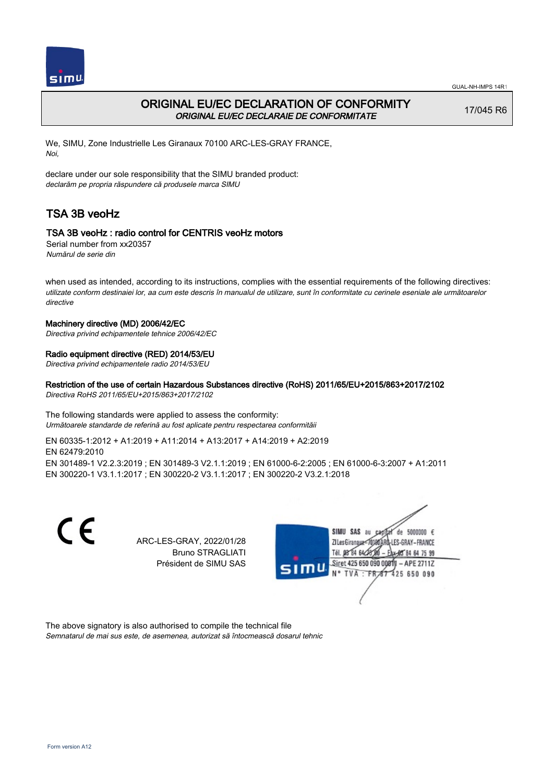

# ORIGINAL EU/EC DECLARATION OF CONFORMITY ORIGINAL EU/EC DECLARAIE DE CONFORMITATE

17/045 R6

We, SIMU, Zone Industrielle Les Giranaux 70100 ARC-LES-GRAY FRANCE, Noi,

declare under our sole responsibility that the SIMU branded product: declarăm pe propria răspundere că produsele marca SIMU

# TSA 3B veoHz

## TSA 3B veoHz : radio control for CENTRIS veoHz motors

Serial number from xx20357 Numărul de serie din

when used as intended, according to its instructions, complies with the essential requirements of the following directives: utilizate conform destinaiei lor, aa cum este descris în manualul de utilizare, sunt în conformitate cu cerinele eseniale ale următoarelor directive

#### Machinery directive (MD) 2006/42/EC

Directiva privind echipamentele tehnice 2006/42/EC

### Radio equipment directive (RED) 2014/53/EU

Directiva privind echipamentele radio 2014/53/EU

## Restriction of the use of certain Hazardous Substances directive (RoHS) 2011/65/EU+2015/863+2017/2102

Directiva RoHS 2011/65/EU+2015/863+2017/2102

#### The following standards were applied to assess the conformity: Următoarele standarde de referină au fost aplicate pentru respectarea conformităii

EN 60335‑1:2012 + A1:2019 + A11:2014 + A13:2017 + A14:2019 + A2:2019 EN 62479:2010 EN 301489‑1 V2.2.3:2019 ; EN 301489‑3 V2.1.1:2019 ; EN 61000‑6‑2:2005 ; EN 61000‑6‑3:2007 + A1:2011 EN 300220‑1 V3.1.1:2017 ; EN 300220‑2 V3.1.1:2017 ; EN 300220‑2 V3.2.1:2018

CE

ARC-LES-GRAY, 2022/01/28 Bruno STRAGLIATI Président de SIMU SAS



The above signatory is also authorised to compile the technical file Semnatarul de mai sus este, de asemenea, autorizat să întocmească dosarul tehnic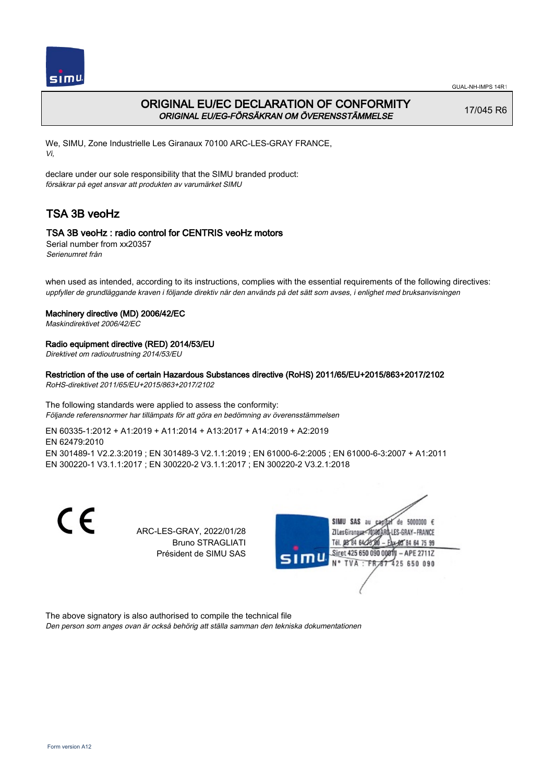

# ORIGINAL EU/EC DECLARATION OF CONFORMITY ORIGINAL EU/EG-FÖRSÄKRAN OM ÖVERENSSTÄMMELSE

17/045 R6

We, SIMU, Zone Industrielle Les Giranaux 70100 ARC-LES-GRAY FRANCE, Vi,

declare under our sole responsibility that the SIMU branded product: försäkrar på eget ansvar att produkten av varumärket SIMU

# TSA 3B veoHz

## TSA 3B veoHz : radio control for CENTRIS veoHz motors

Serial number from xx20357 Serienumret från

when used as intended, according to its instructions, complies with the essential requirements of the following directives: uppfyller de grundläggande kraven i följande direktiv när den används på det sätt som avses, i enlighet med bruksanvisningen

### Machinery directive (MD) 2006/42/EC

Maskindirektivet 2006/42/EC

## Radio equipment directive (RED) 2014/53/EU

Direktivet om radioutrustning 2014/53/EU

## Restriction of the use of certain Hazardous Substances directive (RoHS) 2011/65/EU+2015/863+2017/2102

RoHS-direktivet 2011/65/EU+2015/863+2017/2102

The following standards were applied to assess the conformity: Följande referensnormer har tillämpats för att göra en bedömning av överensstämmelsen

EN 60335‑1:2012 + A1:2019 + A11:2014 + A13:2017 + A14:2019 + A2:2019 EN 62479:2010 EN 301489‑1 V2.2.3:2019 ; EN 301489‑3 V2.1.1:2019 ; EN 61000‑6‑2:2005 ; EN 61000‑6‑3:2007 + A1:2011 EN 300220‑1 V3.1.1:2017 ; EN 300220‑2 V3.1.1:2017 ; EN 300220‑2 V3.2.1:2018

C F

ARC-LES-GRAY, 2022/01/28 Bruno STRAGLIATI Président de SIMU SAS



The above signatory is also authorised to compile the technical file Den person som anges ovan är också behörig att ställa samman den tekniska dokumentationen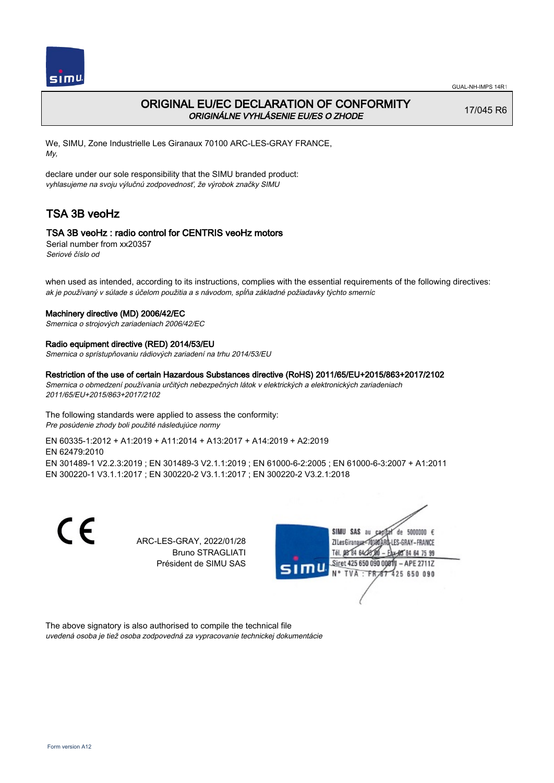

# ORIGINAL EU/EC DECLARATION OF CONFORMITY ORIGINÁLNE VYHLÁSENIE EU/ES O ZHODE

17/045 R6

We, SIMU, Zone Industrielle Les Giranaux 70100 ARC-LES-GRAY FRANCE, My,

declare under our sole responsibility that the SIMU branded product: vyhlasujeme na svoju výlučnú zodpovednosť, že výrobok značky SIMU

# TSA 3B veoHz

## TSA 3B veoHz : radio control for CENTRIS veoHz motors

Serial number from xx20357 Seriové číslo od

when used as intended, according to its instructions, complies with the essential requirements of the following directives: ak je používaný v súlade s účelom použitia a s návodom, spĺňa základné požiadavky týchto smerníc

#### Machinery directive (MD) 2006/42/EC

Smernica o strojových zariadeniach 2006/42/EC

#### Radio equipment directive (RED) 2014/53/EU

Smernica o sprístupňovaniu rádiových zariadení na trhu 2014/53/EU

#### Restriction of the use of certain Hazardous Substances directive (RoHS) 2011/65/EU+2015/863+2017/2102

Smernica o obmedzení používania určitých nebezpečných látok v elektrických a elektronických zariadeniach 2011/65/EU+2015/863+2017/2102

The following standards were applied to assess the conformity: Pre posúdenie zhody boli použité následujúce normy

#### EN 60335‑1:2012 + A1:2019 + A11:2014 + A13:2017 + A14:2019 + A2:2019 EN 62479:2010

EN 301489‑1 V2.2.3:2019 ; EN 301489‑3 V2.1.1:2019 ; EN 61000‑6‑2:2005 ; EN 61000‑6‑3:2007 + A1:2011 EN 300220‑1 V3.1.1:2017 ; EN 300220‑2 V3.1.1:2017 ; EN 300220‑2 V3.2.1:2018

CE

ARC-LES-GRAY, 2022/01/28 Bruno STRAGLIATI Président de SIMU SAS



The above signatory is also authorised to compile the technical file uvedená osoba je tiež osoba zodpovedná za vypracovanie technickej dokumentácie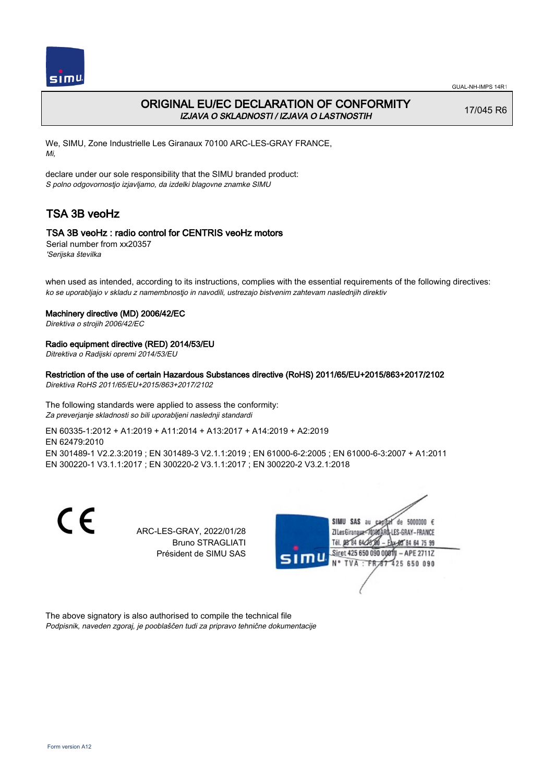

# ORIGINAL EU/EC DECLARATION OF CONFORMITY IZJAVA O SKLADNOSTI / IZJAVA O LASTNOSTIH

17/045 R6

We, SIMU, Zone Industrielle Les Giranaux 70100 ARC-LES-GRAY FRANCE, Mi,

declare under our sole responsibility that the SIMU branded product: S polno odgovornostjo izjavljamo, da izdelki blagovne znamke SIMU

# TSA 3B veoHz

## TSA 3B veoHz : radio control for CENTRIS veoHz motors

Serial number from xx20357 'Serijska številka

when used as intended, according to its instructions, complies with the essential requirements of the following directives: ko se uporabljajo v skladu z namembnostjo in navodili, ustrezajo bistvenim zahtevam naslednjih direktiv

### Machinery directive (MD) 2006/42/EC

Direktiva o strojih 2006/42/EC

### Radio equipment directive (RED) 2014/53/EU

Ditrektiva o Radijski opremi 2014/53/EU

## Restriction of the use of certain Hazardous Substances directive (RoHS) 2011/65/EU+2015/863+2017/2102

Direktiva RoHS 2011/65/EU+2015/863+2017/2102

The following standards were applied to assess the conformity: Za preverjanje skladnosti so bili uporabljeni naslednji standardi

EN 60335‑1:2012 + A1:2019 + A11:2014 + A13:2017 + A14:2019 + A2:2019 EN 62479:2010 EN 301489‑1 V2.2.3:2019 ; EN 301489‑3 V2.1.1:2019 ; EN 61000‑6‑2:2005 ; EN 61000‑6‑3:2007 + A1:2011 EN 300220‑1 V3.1.1:2017 ; EN 300220‑2 V3.1.1:2017 ; EN 300220‑2 V3.2.1:2018

> ARC-LES-GRAY, 2022/01/28 Bruno STRAGLIATI Président de SIMU SAS



The above signatory is also authorised to compile the technical file Podpisnik, naveden zgoraj, je pooblaščen tudi za pripravo tehnične dokumentacije